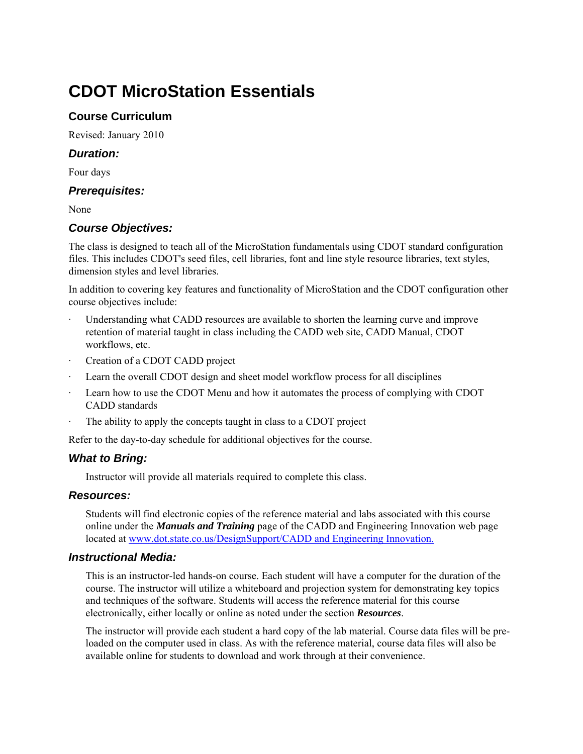# **CDOT MicroStation Essentials**

## **Course Curriculum**

Revised: January 2010

### *Duration:*

Four days

### *Prerequisites:*

None

## *Course Objectives:*

The class is designed to teach all of the MicroStation fundamentals using CDOT standard configuration files. This includes CDOT's seed files, cell libraries, font and line style resource libraries, text styles, dimension styles and level libraries.

In addition to covering key features and functionality of MicroStation and the CDOT configuration other course objectives include:

- Understanding what CADD resources are available to shorten the learning curve and improve retention of material taught in class including the CADD web site, CADD Manual, CDOT workflows, etc.
- Creation of a CDOT CADD project
- Learn the overall CDOT design and sheet model workflow process for all disciplines
- Learn how to use the CDOT Menu and how it automates the process of complying with CDOT CADD standards
- The ability to apply the concepts taught in class to a CDOT project

Refer to the day-to-day schedule for additional objectives for the course.

## *What to Bring:*

Instructor will provide all materials required to complete this class.

## *Resources:*

Students will find electronic copies of the reference material and labs associated with this course online under the *Manuals and Training* page of the CADD and Engineering Innovation web page located at www.dot.state.co.us/DesignSupport/CADD and Engineering Innovation.

## *Instructional Media:*

This is an instructor-led hands-on course. Each student will have a computer for the duration of the course. The instructor will utilize a whiteboard and projection system for demonstrating key topics and techniques of the software. Students will access the reference material for this course electronically, either locally or online as noted under the section *Resources*.

The instructor will provide each student a hard copy of the lab material. Course data files will be preloaded on the computer used in class. As with the reference material, course data files will also be available online for students to download and work through at their convenience.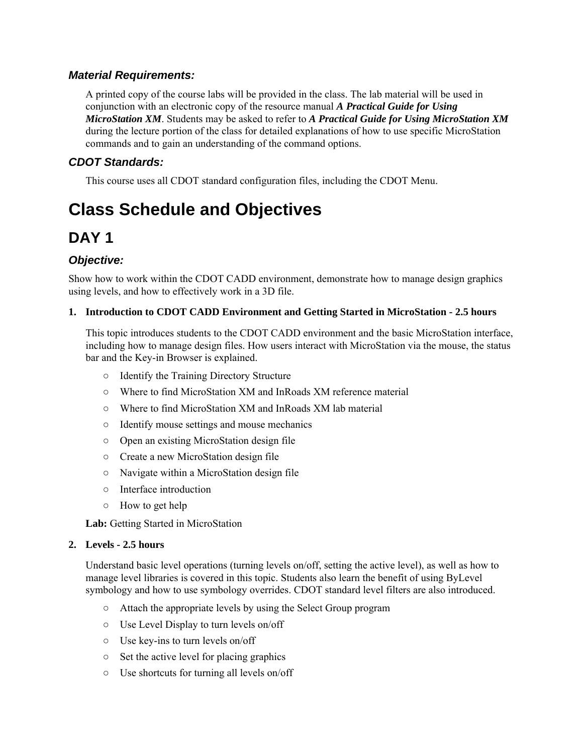## *Material Requirements:*

A printed copy of the course labs will be provided in the class. The lab material will be used in conjunction with an electronic copy of the resource manual *A Practical Guide for Using MicroStation XM*. Students may be asked to refer to *A Practical Guide for Using MicroStation XM* during the lecture portion of the class for detailed explanations of how to use specific MicroStation commands and to gain an understanding of the command options.

## *CDOT Standards:*

This course uses all CDOT standard configuration files, including the CDOT Menu.

# **Class Schedule and Objectives**

## **DAY 1**

## *Objective:*

Show how to work within the CDOT CADD environment, demonstrate how to manage design graphics using levels, and how to effectively work in a 3D file.

#### **1. Introduction to CDOT CADD Environment and Getting Started in MicroStation - 2.5 hours**

This topic introduces students to the CDOT CADD environment and the basic MicroStation interface, including how to manage design files. How users interact with MicroStation via the mouse, the status bar and the Key-in Browser is explained.

- Identify the Training Directory Structure
- Where to find MicroStation XM and InRoads XM reference material
- Where to find MicroStation XM and InRoads XM lab material
- Identify mouse settings and mouse mechanics
- Open an existing MicroStation design file
- Create a new MicroStation design file
- Navigate within a MicroStation design file
- Interface introduction
- How to get help

**Lab:** Getting Started in MicroStation

#### **2. Levels - 2.5 hours**

Understand basic level operations (turning levels on/off, setting the active level), as well as how to manage level libraries is covered in this topic. Students also learn the benefit of using ByLevel symbology and how to use symbology overrides. CDOT standard level filters are also introduced.

- Attach the appropriate levels by using the Select Group program
- Use Level Display to turn levels on/off
- Use key-ins to turn levels on/off
- Set the active level for placing graphics
- Use shortcuts for turning all levels on/off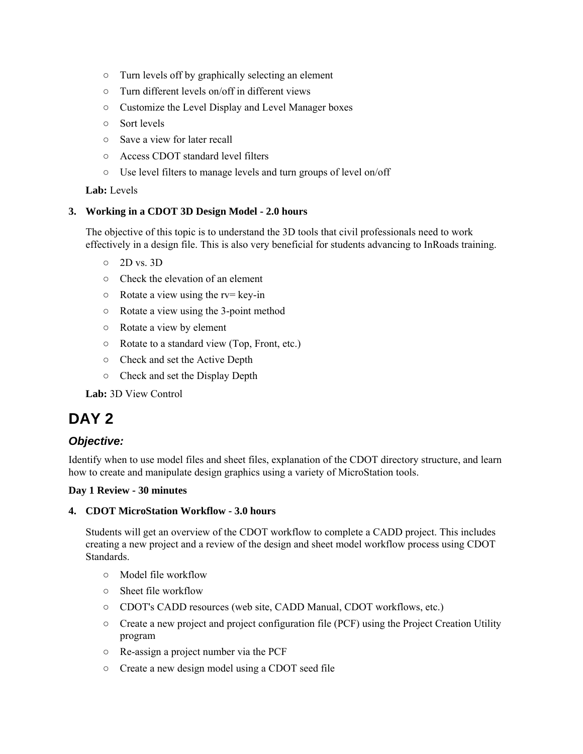- Turn levels off by graphically selecting an element
- Turn different levels on/off in different views
- Customize the Level Display and Level Manager boxes
- Sort levels
- Save a view for later recall
- Access CDOT standard level filters
- Use level filters to manage levels and turn groups of level on/off

**Lab:** Levels

#### **3. Working in a CDOT 3D Design Model - 2.0 hours**

The objective of this topic is to understand the 3D tools that civil professionals need to work effectively in a design file. This is also very beneficial for students advancing to InRoads training.

- 2D vs. 3D
- Check the elevation of an element
- $\circ$  Rotate a view using the rv= key-in
- Rotate a view using the 3-point method
- Rotate a view by element
- Rotate to a standard view (Top, Front, etc.)
- Check and set the Active Depth
- Check and set the Display Depth

**Lab:** 3D View Control

## **DAY 2**

#### *Objective:*

Identify when to use model files and sheet files, explanation of the CDOT directory structure, and learn how to create and manipulate design graphics using a variety of MicroStation tools.

#### **Day 1 Review - 30 minutes**

#### **4. CDOT MicroStation Workflow - 3.0 hours**

Students will get an overview of the CDOT workflow to complete a CADD project. This includes creating a new project and a review of the design and sheet model workflow process using CDOT Standards.

- Model file workflow
- Sheet file workflow
- CDOT's CADD resources (web site, CADD Manual, CDOT workflows, etc.)
- Create a new project and project configuration file (PCF) using the Project Creation Utility program
- Re-assign a project number via the PCF
- Create a new design model using a CDOT seed file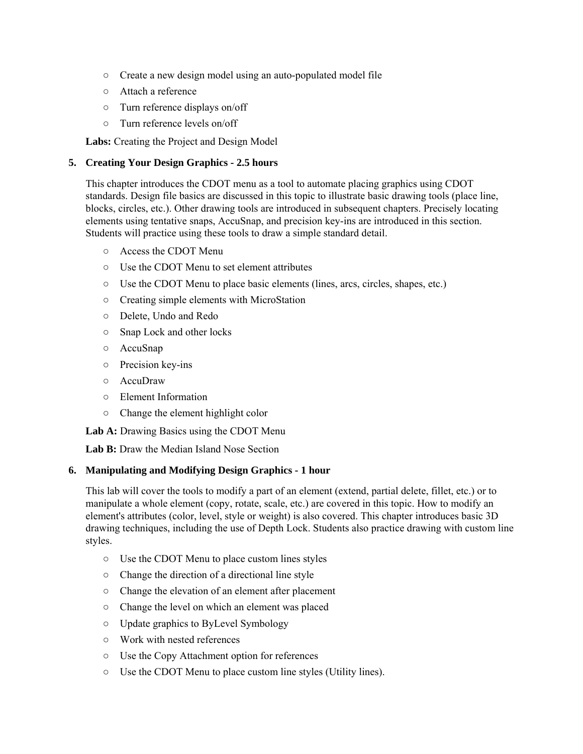- Create a new design model using an auto-populated model file
- Attach a reference
- Turn reference displays on/off
- Turn reference levels on/off

**Labs:** Creating the Project and Design Model

#### **5. Creating Your Design Graphics - 2.5 hours**

This chapter introduces the CDOT menu as a tool to automate placing graphics using CDOT standards. Design file basics are discussed in this topic to illustrate basic drawing tools (place line, blocks, circles, etc.). Other drawing tools are introduced in subsequent chapters. Precisely locating elements using tentative snaps, AccuSnap, and precision key-ins are introduced in this section. Students will practice using these tools to draw a simple standard detail.

- Access the CDOT Menu
- Use the CDOT Menu to set element attributes
- Use the CDOT Menu to place basic elements (lines, arcs, circles, shapes, etc.)
- Creating simple elements with MicroStation
- Delete, Undo and Redo
- Snap Lock and other locks
- AccuSnap
- Precision key-ins
- AccuDraw
- Element Information
- Change the element highlight color

**Lab A:** Drawing Basics using the CDOT Menu

Lab B: Draw the Median Island Nose Section

#### **6. Manipulating and Modifying Design Graphics - 1 hour**

This lab will cover the tools to modify a part of an element (extend, partial delete, fillet, etc.) or to manipulate a whole element (copy, rotate, scale, etc.) are covered in this topic. How to modify an element's attributes (color, level, style or weight) is also covered. This chapter introduces basic 3D drawing techniques, including the use of Depth Lock. Students also practice drawing with custom line styles.

- Use the CDOT Menu to place custom lines styles
- Change the direction of a directional line style
- Change the elevation of an element after placement
- Change the level on which an element was placed
- Update graphics to ByLevel Symbology
- Work with nested references
- Use the Copy Attachment option for references
- Use the CDOT Menu to place custom line styles (Utility lines).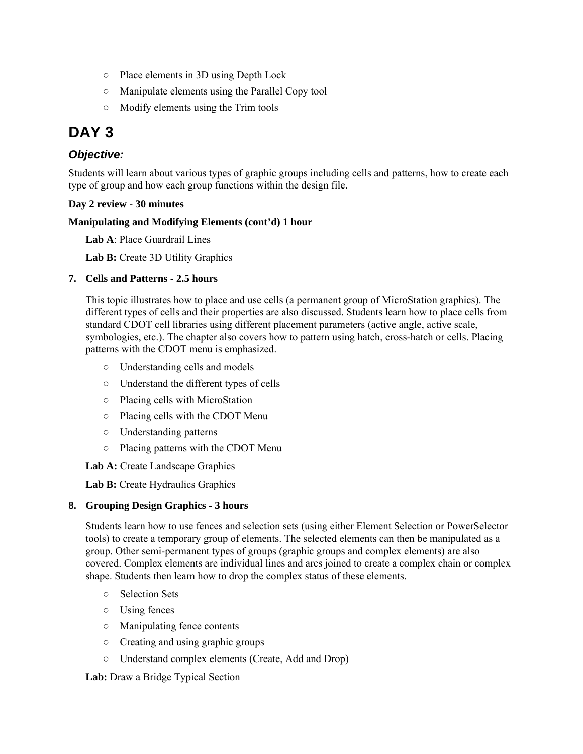- Place elements in 3D using Depth Lock
- Manipulate elements using the Parallel Copy tool
- Modify elements using the Trim tools

## **DAY 3**

## *Objective:*

Students will learn about various types of graphic groups including cells and patterns, how to create each type of group and how each group functions within the design file.

#### **Day 2 review - 30 minutes**

#### **Manipulating and Modifying Elements (cont'd) 1 hour**

**Lab A**: Place Guardrail Lines

**Lab B:** Create 3D Utility Graphics

#### **7. Cells and Patterns - 2.5 hours**

This topic illustrates how to place and use cells (a permanent group of MicroStation graphics). The different types of cells and their properties are also discussed. Students learn how to place cells from standard CDOT cell libraries using different placement parameters (active angle, active scale, symbologies, etc.). The chapter also covers how to pattern using hatch, cross-hatch or cells. Placing patterns with the CDOT menu is emphasized.

- Understanding cells and models
- Understand the different types of cells
- Placing cells with MicroStation
- Placing cells with the CDOT Menu
- Understanding patterns
- Placing patterns with the CDOT Menu

**Lab A:** Create Landscape Graphics

**Lab B:** Create Hydraulics Graphics

#### **8. Grouping Design Graphics - 3 hours**

Students learn how to use fences and selection sets (using either Element Selection or PowerSelector tools) to create a temporary group of elements. The selected elements can then be manipulated as a group. Other semi-permanent types of groups (graphic groups and complex elements) are also covered. Complex elements are individual lines and arcs joined to create a complex chain or complex shape. Students then learn how to drop the complex status of these elements.

- Selection Sets
- Using fences
- Manipulating fence contents
- Creating and using graphic groups
- Understand complex elements (Create, Add and Drop)

**Lab:** Draw a Bridge Typical Section